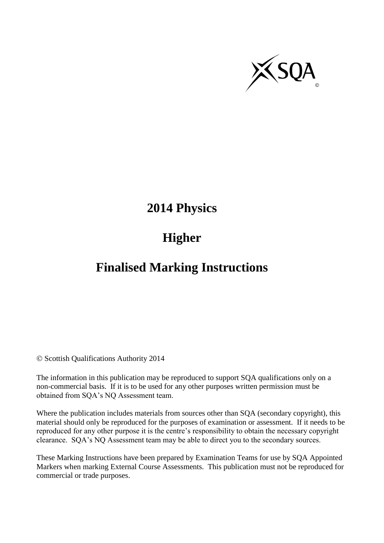

# **2014 Physics**

# **Higher**

# **Finalised Marking Instructions**

© Scottish Qualifications Authority 2014

The information in this publication may be reproduced to support SQA qualifications only on a non-commercial basis. If it is to be used for any other purposes written permission must be obtained from SQA's NQ Assessment team.

Where the publication includes materials from sources other than SQA (secondary copyright), this material should only be reproduced for the purposes of examination or assessment. If it needs to be reproduced for any other purpose it is the centre's responsibility to obtain the necessary copyright clearance. SQA's NQ Assessment team may be able to direct you to the secondary sources.

These Marking Instructions have been prepared by Examination Teams for use by SQA Appointed Markers when marking External Course Assessments. This publication must not be reproduced for commercial or trade purposes.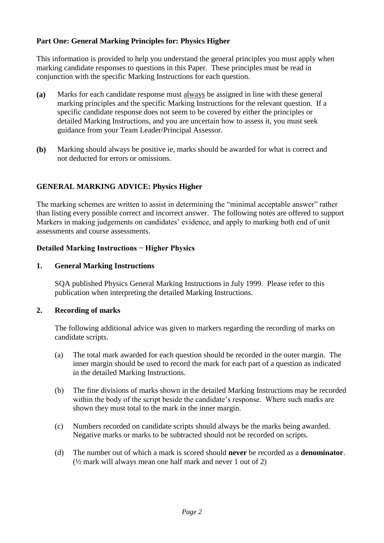#### **Part One: General Marking Principles for: Physics Higher**

This information is provided to help you understand the general principles you must apply when marking candidate responses to questions in this Paper. These principles must be read in conjunction with the specific Marking Instructions for each question.

- **(a)** Marks for each candidate response must always be assigned in line with these general marking principles and the specific Marking Instructions for the relevant question. If a specific candidate response does not seem to be covered by either the principles or detailed Marking Instructions, and you are uncertain how to assess it, you must seek guidance from your Team Leader/Principal Assessor.
- **(b)** Marking should always be positive ie, marks should be awarded for what is correct and not deducted for errors or omissions.

#### **GENERAL MARKING ADVICE: Physics Higher**

The marking schemes are written to assist in determining the "minimal acceptable answer" rather than listing every possible correct and incorrect answer. The following notes are offered to support Markers in making judgements on candidates' evidence, and apply to marking both end of unit assessments and course assessments.

#### **Detailed Marking Instructions − Higher Physics**

#### **1. General Marking Instructions**

SQA published Physics General Marking Instructions in July 1999. Please refer to this publication when interpreting the detailed Marking Instructions.

#### **2. Recording of marks**

The following additional advice was given to markers regarding the recording of marks on candidate scripts.

- (a) The total mark awarded for each question should be recorded in the outer margin. The inner margin should be used to record the mark for each part of a question as indicated in the detailed Marking Instructions.
- (b) The fine divisions of marks shown in the detailed Marking Instructions may be recorded within the body of the script beside the candidate's response. Where such marks are shown they must total to the mark in the inner margin.
- (c) Numbers recorded on candidate scripts should always be the marks being awarded. Negative marks or marks to be subtracted should not be recorded on scripts.
- (d) The number out of which a mark is scored should **never** be recorded as a **denominator**.  $(\frac{1}{2}$  mark will always mean one half mark and never 1 out of 2)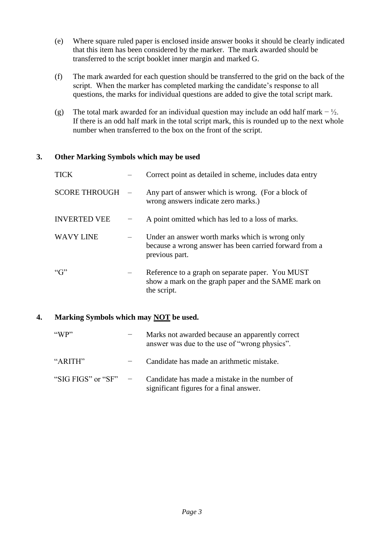- (e) Where square ruled paper is enclosed inside answer books it should be clearly indicated that this item has been considered by the marker. The mark awarded should be transferred to the script booklet inner margin and marked G.
- (f) The mark awarded for each question should be transferred to the grid on the back of the script. When the marker has completed marking the candidate's response to all questions, the marks for individual questions are added to give the total script mark.
- (g) The total mark awarded for an individual question may include an odd half mark  $\frac{1}{2}$ . If there is an odd half mark in the total script mark, this is rounded up to the next whole number when transferred to the box on the front of the script.

#### **3. Other Marking Symbols which may be used**

| <b>TICK</b>          | Correct point as detailed in scheme, includes data entry                                                                    |
|----------------------|-----------------------------------------------------------------------------------------------------------------------------|
| <b>SCORE THROUGH</b> | Any part of answer which is wrong. (For a block of<br>wrong answers indicate zero marks.)                                   |
| <b>INVERTED VEE</b>  | A point omitted which has led to a loss of marks.                                                                           |
| <b>WAVY LINE</b>     | Under an answer worth marks which is wrong only<br>because a wrong answer has been carried forward from a<br>previous part. |
| $\lq G$              | Reference to a graph on separate paper. You MUST<br>show a mark on the graph paper and the SAME mark on<br>the script.      |

#### **4. Marking Symbols which may NOT be used.**

| "WP"               | Marks not awarded because an apparently correct<br>answer was due to the use of "wrong physics". |
|--------------------|--------------------------------------------------------------------------------------------------|
| "ARITH"            | Candidate has made an arithmetic mistake.                                                        |
| "SIG FIGS" or "SF" | Candidate has made a mistake in the number of<br>significant figures for a final answer.         |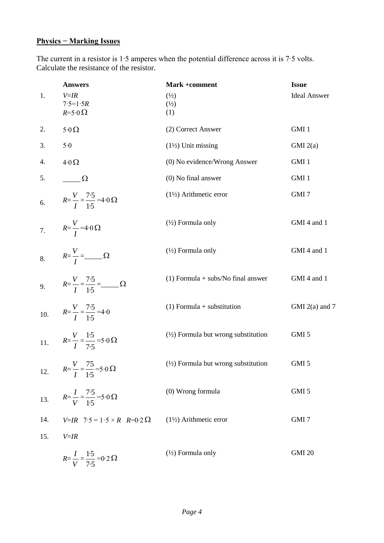### **Physics − Marking Issues**

The current in a resistor is 1∙5 amperes when the potential difference across it is 7∙5 volts. Calculate the resistance of the resistor.

| 1.  | <b>Answers</b><br>$V = IR$<br>$7.5 = 1.5R$                         | Mark +comment<br>$\binom{1}{2}$                | <b>Issue</b><br><b>Ideal Answer</b> |
|-----|--------------------------------------------------------------------|------------------------------------------------|-------------------------------------|
|     | $R=5.0 \Omega$                                                     | $\binom{1}{2}$<br>(1)                          |                                     |
| 2.  | $5.0 \Omega$                                                       | (2) Correct Answer                             | GMI 1                               |
| 3.  | 5.0                                                                | $(1\frac{1}{2})$ Unit missing                  | GMI(2(a)                            |
| 4.  | $4.0 \Omega$                                                       | (0) No evidence/Wrong Answer                   | GMI 1                               |
| 5.  | $\Omega$                                                           | $(0)$ No final answer                          | GMI 1                               |
| 6.  | $R = \frac{V}{I} = \frac{7 \cdot 5}{1 \cdot 5} = 4 \cdot 0 \Omega$ | $(1\frac{1}{2})$ Arithmetic error              | GMI 7                               |
| 7.  | $R=\frac{V}{I}$ =4.0 $\Omega$                                      | $(\frac{1}{2})$ Formula only                   | GMI 4 and 1                         |
| 8.  | $R=\frac{V}{I}=\underline{\qquad}$                                 | $(\frac{1}{2})$ Formula only                   | GMI 4 and 1                         |
|     | 9. $R=\frac{V}{I}=\frac{7.5}{1.5}=\_\_\_\_\Omega$                  | $(1)$ Formula + subs/No final answer           | GMI 4 and 1                         |
| 10. | $R=\frac{V}{I}=\frac{7.5}{1.5}=4.0$                                | $(1)$ Formula + substitution                   | GMI $2(a)$ and 7                    |
| 11. | $R = \frac{V}{I} = \frac{1.5}{7.5} = 5.0 \Omega$                   | $(\frac{1}{2})$ Formula but wrong substitution | GMI 5                               |
| 12. | $R = \frac{V}{I} = \frac{75}{1.5} = 5.0 \Omega$                    | $(\frac{1}{2})$ Formula but wrong substitution | GMI <sub>5</sub>                    |
| 13. | $R = \frac{I}{V} = \frac{7 \cdot 5}{1 \cdot 5} = 5 \cdot 0 \Omega$ | (0) Wrong formula                              | GMI 5                               |
| 14. | $V=IR$ 7.5 = 1.5 × R R=0.2 $\Omega$                                | $(1\frac{1}{2})$ Arithmetic error              | GMI <sub>7</sub>                    |
| 15. | $V = IR$                                                           |                                                |                                     |
|     | $R = \frac{I}{V} = \frac{1.5}{7.5} = 0.2 \Omega$                   | $(\frac{1}{2})$ Formula only                   | <b>GMI 20</b>                       |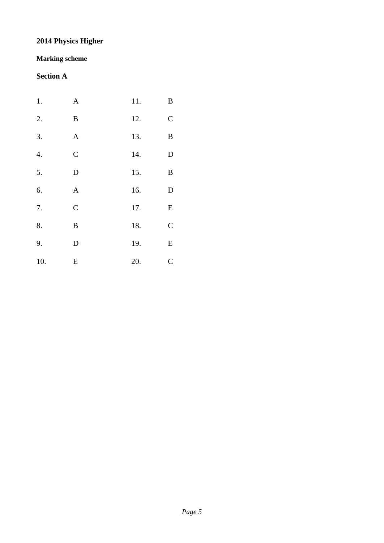## **2014 Physics Higher**

#### **Marking scheme**

### **Section A**

| 1.  | $\mathbf{A}$ | 11. | $\, {\bf B}$ |
|-----|--------------|-----|--------------|
| 2.  | $\, {\bf B}$ | 12. | $\mathbf C$  |
| 3.  | $\mathbf{A}$ | 13. | $\, {\bf B}$ |
| 4.  | $\mathsf{C}$ | 14. | ${\rm D}$    |
| 5.  | $\mathbf D$  | 15. | $\, {\bf B}$ |
| 6.  | $\mathbf{A}$ | 16. | ${\bf D}$    |
| 7.  | $\mathsf{C}$ | 17. | ${\bf E}$    |
| 8.  | $\, {\bf B}$ | 18. | $\mathsf{C}$ |
| 9.  | $\mathbf D$  | 19. | ${\bf E}$    |
| 10. | ${\bf E}$    | 20. | $\mathsf{C}$ |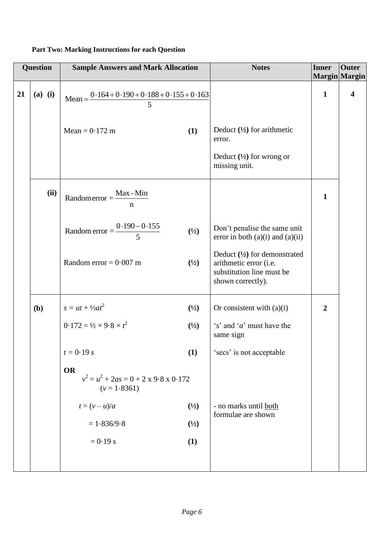|    | Question  | <b>Sample Answers and Mark Allocation</b>                                        |                | <b>Notes</b>                                                                                                        | <b>Inner</b>   | <b>Outer</b>              |
|----|-----------|----------------------------------------------------------------------------------|----------------|---------------------------------------------------------------------------------------------------------------------|----------------|---------------------------|
| 21 | $(a)$ (i) | Mean = $\frac{0.164 + 0.190 + 0.188 + 0.155 + 0.163}{5}$                         |                |                                                                                                                     | $\mathbf{1}$   | <b>Margin</b> Margin<br>4 |
|    |           | Mean = $0.172$ m                                                                 | (1)            | Deduct $(\frac{1}{2})$ for arithmetic<br>error.                                                                     |                |                           |
|    |           |                                                                                  |                | Deduct $(\frac{1}{2})$ for wrong or<br>missing unit.                                                                |                |                           |
|    | (ii)      | $Random error = \frac{Max - Min}{max}$<br>n                                      |                |                                                                                                                     | $\mathbf{1}$   |                           |
|    |           | Random error = $\frac{0.190 - 0.155}{5}$                                         | (1/2)          | Don't penalise the same unit<br>error in both $(a)(i)$ and $(a)(ii)$                                                |                |                           |
|    |           | Random error = $0.007$ m                                                         | (1/2)          | Deduct $(\frac{1}{2})$ for demonstrated<br>arithmetic error (i.e.<br>substitution line must be<br>shown correctly). |                |                           |
|    | (b)       | $s = ut + \frac{1}{2}at^2$                                                       | $\binom{1}{2}$ | Or consistent with $(a)(i)$                                                                                         | $\overline{2}$ |                           |
|    |           | $0.172 = \frac{1}{2} \times 9.8 \times t^2$                                      | $\binom{1}{2}$ | $'s'$ and $'a'$ must have the<br>same sign                                                                          |                |                           |
|    |           | $t = 0.19 s$                                                                     | (1)            | 'secs' is not acceptable                                                                                            |                |                           |
|    |           | <b>OR</b><br>$v^2 = u^2 + 2as = 0 + 2 \times 9.8 \times 0.172$<br>$(v = 1.8361)$ |                |                                                                                                                     |                |                           |
|    |           | $t=(v-u)/a$                                                                      | $\binom{1}{2}$ | - no marks until both<br>formulae are shown                                                                         |                |                           |
|    |           | $= 1.836/9.8$                                                                    | $\binom{1}{2}$ |                                                                                                                     |                |                           |
|    |           | $= 0.19$ s                                                                       | (1)            |                                                                                                                     |                |                           |
|    |           |                                                                                  |                |                                                                                                                     |                |                           |

#### **Part Two: Marking Instructions for each Question**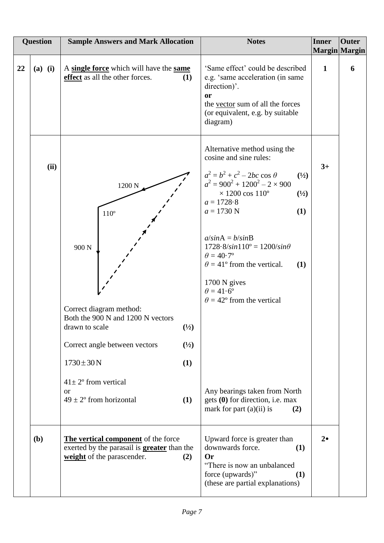|    | <b>Question</b> | <b>Sample Answers and Mark Allocation</b>                                                                                                                                                                                                                         |                                       | <b>Notes</b>                                                                                                                                                                                                                                                                                                                                                                                                                                                                                                                                                                                       | <b>Inner</b> | <b>Outer</b><br>Margin Margin |
|----|-----------------|-------------------------------------------------------------------------------------------------------------------------------------------------------------------------------------------------------------------------------------------------------------------|---------------------------------------|----------------------------------------------------------------------------------------------------------------------------------------------------------------------------------------------------------------------------------------------------------------------------------------------------------------------------------------------------------------------------------------------------------------------------------------------------------------------------------------------------------------------------------------------------------------------------------------------------|--------------|-------------------------------|
| 22 | $(a)$ (i)       | A single force which will have the same<br>effect as all the other forces.                                                                                                                                                                                        | (1)                                   | 'Same effect' could be described<br>e.g. 'same acceleration (in same<br>direction)'.<br>or<br>the vector sum of all the forces<br>(or equivalent, e.g. by suitable<br>diagram)                                                                                                                                                                                                                                                                                                                                                                                                                     | $\mathbf{1}$ | 6                             |
|    | (ii)            | 1200 N<br>$110^{\circ}$<br>900 <sub>N</sub><br>Correct diagram method:<br>Both the 900 N and 1200 N vectors<br>drawn to scale<br>Correct angle between vectors<br>$1730 \pm 30 N$<br>$41 \pm 2$ ° from vertical<br>$\alpha$<br>$49 \pm 2^{\circ}$ from horizontal | (1/2)<br>$\binom{1}{2}$<br>(1)<br>(1) | Alternative method using the<br>cosine and sine rules:<br>$a^2 = b^2 + c^2 - 2bc \cos \theta$<br>$\binom{1}{2}$<br>$a^2 = 900^2 + 1200^2 - 2 \times 900$<br>$\times$ 1200 cos 110 <sup>o</sup><br>$\binom{1}{2}$<br>$a = 1728.8$<br>$a = 1730$ N<br>(1)<br>$a/sinA = b/sinB$<br>$1728.8/\sin 110^{\circ} = 1200/\sin \theta$<br>$\theta = 40.7$ °<br>$\theta = 41^{\circ}$ from the vertical.<br>(1)<br>$1700 N$ gives<br>$\theta = 41.6$ °<br>$\theta = 42^{\circ}$ from the vertical<br>Any bearings taken from North<br>gets $(0)$ for direction, i.e. max<br>mark for part $(a)(ii)$ is<br>(2) | $3+$         |                               |
|    | (b)             | The vertical component of the force<br>exerted by the parasail is <b>greater</b> than the<br>weight of the parascender.                                                                                                                                           | (2)                                   | Upward force is greater than<br>downwards force.<br>(1)<br><b>Or</b><br>"There is now an unbalanced<br>force (upwards)"<br>(1)<br>(these are partial explanations)                                                                                                                                                                                                                                                                                                                                                                                                                                 | $2\bullet$   |                               |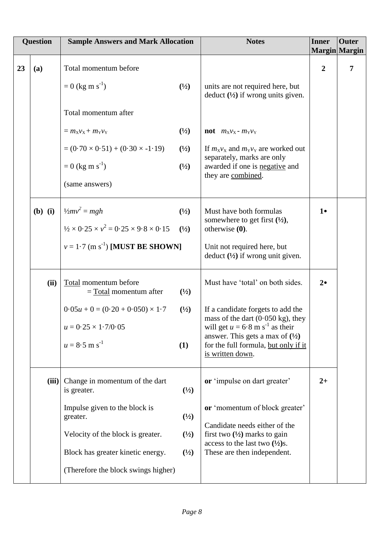|    | <b>Question</b> | <b>Sample Answers and Mark Allocation</b>                          |                | <b>Notes</b>                                                                                                                                            | <b>Inner</b>   | Outer<br><b>Margin Margin</b> |
|----|-----------------|--------------------------------------------------------------------|----------------|---------------------------------------------------------------------------------------------------------------------------------------------------------|----------------|-------------------------------|
| 23 | (a)             | Total momentum before                                              |                |                                                                                                                                                         | $\overline{2}$ | $\overline{7}$                |
|    |                 | $= 0$ (kg m s <sup>-1</sup> )                                      | $\binom{1}{2}$ | units are not required here, but<br>deduct $(\frac{1}{2})$ if wrong units given.                                                                        |                |                               |
|    |                 | Total momentum after                                               |                |                                                                                                                                                         |                |                               |
|    |                 | $= m_X v_X + m_Y v_Y$                                              | (1/2)          | <b>not</b> $m_X v_X - m_Y v_Y$                                                                                                                          |                |                               |
|    |                 | $= (0.70 \times 0.51) + (0.30 \times -1.19)$                       | (1/2)          | If $m_Xv_X$ and $m_Yv_Y$ are worked out<br>separately, marks are only                                                                                   |                |                               |
|    |                 | $= 0$ (kg m s <sup>-1</sup> )                                      | (1/2)          | awarded if one is negative and<br>they are combined.                                                                                                    |                |                               |
|    |                 | (same answers)                                                     |                |                                                                                                                                                         |                |                               |
|    | $(b)$ (i)       | $\frac{1}{2}mv^2 = mgh$                                            | $\binom{1}{2}$ | Must have both formulas                                                                                                                                 | $1\bullet$     |                               |
|    |                 | $\frac{1}{2} \times 0.25 \times v^2 = 0.25 \times 9.8 \times 0.15$ | (1/2)          | somewhere to get first $(\frac{1}{2})$ ,<br>otherwise $(0)$ .                                                                                           |                |                               |
|    |                 | $v = 1.7$ (m s <sup>-1</sup> ) [MUST BE SHOWN]                     |                | Unit not required here, but<br>deduct $(\frac{1}{2})$ if wrong unit given.                                                                              |                |                               |
|    | (ii)            | Total momentum before<br>$=$ Total momentum after                  | $\binom{1}{2}$ | Must have 'total' on both sides.                                                                                                                        | $2\bullet$     |                               |
|    |                 | $0.05u + 0 = (0.20 + 0.050) \times 1.7$                            | $\binom{1}{2}$ | If a candidate forgets to add the<br>mass of the dart $(0.050 \text{ kg})$ , they                                                                       |                |                               |
|    |                 | $u = 0.25 \times 1.7/0.05$                                         |                | will get $u = 6.8$ m s <sup>-1</sup> as their<br>answer. This gets a max of $(\frac{1}{2})$<br>for the full formula, but only if it<br>is written down. |                |                               |
|    |                 | $u = 8.5$ m s <sup>-1</sup>                                        | (1)            |                                                                                                                                                         |                |                               |
|    | (iii)           | Change in momentum of the dart<br>is greater.                      | $\binom{1}{2}$ | or 'impulse on dart greater'                                                                                                                            | $2+$           |                               |
|    |                 | Impulse given to the block is<br>greater.                          | (1/2)          | or 'momentum of block greater'                                                                                                                          |                |                               |
|    |                 | Velocity of the block is greater.                                  | $\binom{1}{2}$ | Candidate needs either of the<br>first two $(\frac{1}{2})$ marks to gain<br>access to the last two $(\frac{1}{2})s$ .                                   |                |                               |
|    |                 | Block has greater kinetic energy.                                  | $\binom{1}{2}$ | These are then independent.                                                                                                                             |                |                               |
|    |                 | (Therefore the block swings higher)                                |                |                                                                                                                                                         |                |                               |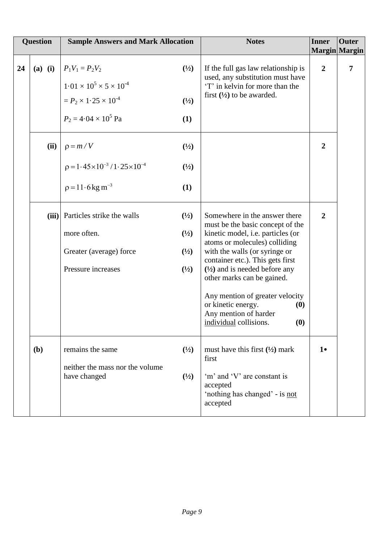| <b>Question</b> |           | <b>Sample Answers and Mark Allocation</b>                                                                                            |                                                                      | <b>Notes</b>                                                                                                                                                                                                                                                                                                                                                                                                     | <b>Inner</b>                    | <b>Outer</b>    |
|-----------------|-----------|--------------------------------------------------------------------------------------------------------------------------------------|----------------------------------------------------------------------|------------------------------------------------------------------------------------------------------------------------------------------------------------------------------------------------------------------------------------------------------------------------------------------------------------------------------------------------------------------------------------------------------------------|---------------------------------|-----------------|
| 24              | $(a)$ (i) | $P_1V_1 = P_2V_2$<br>$1.01 \times 10^5 \times 5 \times 10^{-4}$<br>$= P_2 \times 1.25 \times 10^{-4}$<br>$P_2 = 4.04 \times 10^5$ Pa | $\binom{1}{2}$<br>$\binom{1}{2}$<br>(1)                              | If the full gas law relationship is<br>used, any substitution must have<br>'T' in kelvin for more than the<br>first $(\frac{1}{2})$ to be awarded.                                                                                                                                                                                                                                                               | Margin Margin<br>$\overline{2}$ | $7\phantom{.0}$ |
|                 | (ii)      | $p = m/V$<br>$p = 1.45 \times 10^{-3} / 1.25 \times 10^{-4}$<br>$p = 11.6$ kg m <sup>-3</sup>                                        | $\binom{1}{2}$<br>$\binom{1}{2}$<br>(1)                              |                                                                                                                                                                                                                                                                                                                                                                                                                  | $\boldsymbol{2}$                |                 |
|                 | (iii)     | Particles strike the walls<br>more often.<br>Greater (average) force<br>Pressure increases                                           | $\binom{1}{2}$<br>$\binom{1}{2}$<br>$\binom{1}{2}$<br>$\binom{1}{2}$ | Somewhere in the answer there<br>must be the basic concept of the<br>kinetic model, i.e. particles (or<br>atoms or molecules) colliding<br>with the walls (or syringe or<br>container etc.). This gets first<br>$(\frac{1}{2})$ and is needed before any<br>other marks can be gained.<br>Any mention of greater velocity<br>or kinetic energy.<br>(0)<br>Any mention of harder<br>(0)<br>individual collisions. | $\overline{2}$                  |                 |
|                 | (b)       | remains the same<br>neither the mass nor the volume<br>have changed                                                                  | $\binom{1}{2}$<br>$\binom{1}{2}$                                     | must have this first $(\frac{1}{2})$ mark<br>first<br>'m' and 'V' are constant is<br>accepted<br>'nothing has changed' - is not<br>accepted                                                                                                                                                                                                                                                                      | $1\bullet$                      |                 |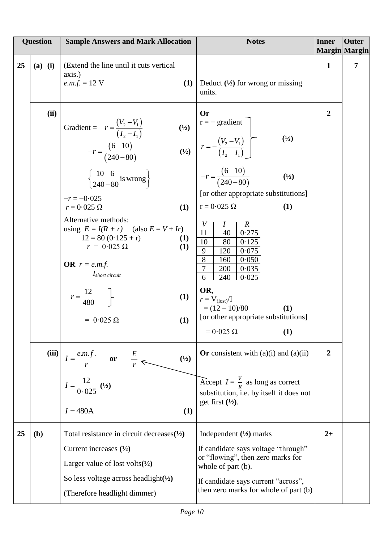|    | <b>Question</b> | <b>Sample Answers and Mark Allocation</b>                                                                                                                                                                                                                                                                                                                                                                                                                   | <b>Notes</b>                                                                                                                                                                                                                                                                                                                                                                                                                                                                                                            | <b>Inner</b>   | <b>Outer</b><br><b>Margin</b> Margin |
|----|-----------------|-------------------------------------------------------------------------------------------------------------------------------------------------------------------------------------------------------------------------------------------------------------------------------------------------------------------------------------------------------------------------------------------------------------------------------------------------------------|-------------------------------------------------------------------------------------------------------------------------------------------------------------------------------------------------------------------------------------------------------------------------------------------------------------------------------------------------------------------------------------------------------------------------------------------------------------------------------------------------------------------------|----------------|--------------------------------------|
| 25 | $(a)$ (i)       | (Extend the line until it cuts vertical<br>axis.)<br><i>e.m.f.</i> = 12 V<br>(1)                                                                                                                                                                                                                                                                                                                                                                            | Deduct $(\frac{1}{2})$ for wrong or missing<br>units.                                                                                                                                                                                                                                                                                                                                                                                                                                                                   | $\mathbf{1}$   | $\overline{7}$                       |
|    | (ii)            | Gradient = $-r = \frac{(V_2 - V_1)}{(I_2 - I_1)}$<br>$(\frac{1}{2})$<br>$-r = \frac{(6-10)}{(240-80)}$<br>$\left\{\frac{10-6}{240-80} \text{is wrong}\right\}$<br>$-r = -0.025$<br>$r = 0.025 \Omega$<br>(1)<br>Alternative methods:<br>using $E = I(R + r)$ (also $E = V + Ir$ )<br>$12 = 80 (0.125 + r)$<br>(1)<br>$r = 0.025 \Omega$<br>(1)<br><b>OR</b> $r = e.m.f.$<br>$I_{short\, circuit}$<br>$r = \frac{12}{480}$<br>(1)<br>(1)<br>$= 0.025 \Omega$ | Or<br>$r = -$ gradient<br>$\binom{1}{2}$<br>$(Y_2)$ $r = -\frac{(V_2 - V_1)}{(I_2 - I_1)}$<br>$-r = \frac{(6-10)}{(240-80)}$<br>(1/2)<br>[or other appropriate substitutions]<br>$r = 0.025 \Omega$<br>(1)<br>V<br>$\boldsymbol{R}$<br>1<br>$\overline{11}$<br>0.275<br>40<br>10<br>80<br>0.125<br>$\overline{9}$<br>0.075<br>120<br>8<br>160<br>0.050<br>$\tau$<br>200<br>0.035<br>6<br>240<br>$\vert 0.025 \vert$<br>OR,<br>$r = V_{\text{(lost)}}/I$<br>$=(12-10)/80$<br>(1)<br>[or other appropriate substitutions] | $\overline{2}$ |                                      |
|    | (iii)           | $I = \frac{e.m.f.}{r}$ or $\frac{E}{r}$<br>$(\frac{1}{2})$<br>$I = \frac{12}{0.025}$ (1/2)<br>$I = 480A$<br>(1)                                                                                                                                                                                                                                                                                                                                             | (1)<br>Or consistent with $(a)(i)$ and $(a)(ii)$<br>Accept $I = \frac{V}{R}$ as long as correct<br>substitution, i.e. by itself it does not<br>get first $(\frac{1}{2})$ .                                                                                                                                                                                                                                                                                                                                              | $\overline{2}$ |                                      |
| 25 | (b)             | Total resistance in circuit decreases $(\frac{1}{2})$<br>Current increases $(\frac{1}{2})$<br>Larger value of lost volts $(\frac{1}{2})$<br>So less voltage across headlight $(\frac{1}{2})$<br>(Therefore headlight dimmer)                                                                                                                                                                                                                                | Independent $(\frac{1}{2})$ marks<br>If candidate says voltage "through"<br>or "flowing", then zero marks for<br>whole of part (b).<br>If candidate says current "across",<br>then zero marks for whole of part (b)                                                                                                                                                                                                                                                                                                     | $2+$           |                                      |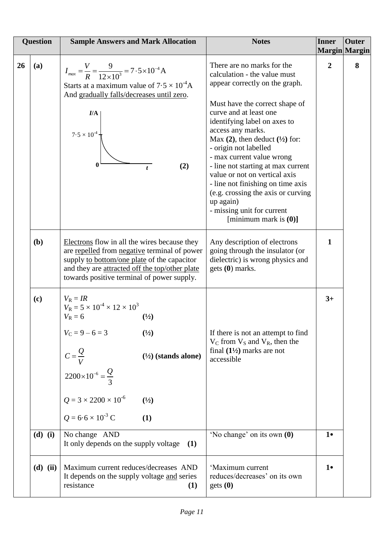|           | <b>Question</b> | <b>Sample Answers and Mark Allocation</b>                                                                                                                                                                                                                                                                     | <b>Notes</b>                                                                                                                                                                                                                                                                                                                                                                                                                                                                                                                         | <b>Inner</b><br><b>Margin</b> Margin | <b>Outer</b> |
|-----------|-----------------|---------------------------------------------------------------------------------------------------------------------------------------------------------------------------------------------------------------------------------------------------------------------------------------------------------------|--------------------------------------------------------------------------------------------------------------------------------------------------------------------------------------------------------------------------------------------------------------------------------------------------------------------------------------------------------------------------------------------------------------------------------------------------------------------------------------------------------------------------------------|--------------------------------------|--------------|
| <b>26</b> | (a)             | $I_{max} = \frac{V}{R} = \frac{9}{12 \times 10^3} = 7.5 \times 10^{-4}$ A<br>Starts at a maximum value of $7.5 \times 10^{-4}$ A<br>And gradually falls/decreases until zero.<br>I/A<br>$7.5\times10^{\text{-}4}$<br>$\bf{0}$<br>(2)<br>$\mathbf{t}$                                                          | There are no marks for the<br>calculation - the value must<br>appear correctly on the graph.<br>Must have the correct shape of<br>curve and at least one<br>identifying label on axes to<br>access any marks.<br>Max $(2)$ , then deduct $(1/2)$ for:<br>- origin not labelled<br>- max current value wrong<br>- line not starting at max current<br>value or not on vertical axis<br>- line not finishing on time axis<br>(e.g. crossing the axis or curving<br>up again)<br>- missing unit for current<br>[minimum mark is $(0)$ ] | $\overline{2}$                       | 8            |
|           | (b)             | Electrons flow in all the wires because they<br>are repelled from negative terminal of power<br>supply to bottom/one plate of the capacitor<br>and they are attracted off the top/other plate<br>towards positive terminal of power supply.                                                                   | Any description of electrons<br>going through the insulator (or<br>dielectric) is wrong physics and<br>gets (0) marks.                                                                                                                                                                                                                                                                                                                                                                                                               | 1                                    |              |
|           | (c)             | $V_R = IR$<br>$V_R = 5 \times 10^{-4} \times 12 \times 10^3$<br>$V_R = 6$<br>$\binom{1}{2}$<br>$V_C = 9 - 6 = 3$<br>(1/2)<br>$C = \frac{Q}{V}$<br>2200×10 <sup>-6</sup> = $\frac{Q}{3}$<br>$(\frac{1}{2})$ (stands alone)<br>$Q = 3 \times 2200 \times 10^{-6}$<br>(1/2)<br>$Q = 6.6 \times 10^{-3}$ C<br>(1) | If there is not an attempt to find<br>$V_C$ from $V_S$ and $V_R$ , then the<br>final $(1\frac{1}{2})$ marks are not<br>accessible                                                                                                                                                                                                                                                                                                                                                                                                    | $3+$                                 |              |
|           | $(d)$ (i)       | No change AND<br>It only depends on the supply voltage<br>(1)                                                                                                                                                                                                                                                 | 'No change' on its own (0)                                                                                                                                                                                                                                                                                                                                                                                                                                                                                                           | $1\bullet$                           |              |
|           | $(d)$ (ii)      | Maximum current reduces/decreases AND<br>It depends on the supply voltage and series<br>resistance<br>(1)                                                                                                                                                                                                     | 'Maximum current<br>reduces/decreases' on its own<br>gets(0)                                                                                                                                                                                                                                                                                                                                                                                                                                                                         | $1\bullet$                           |              |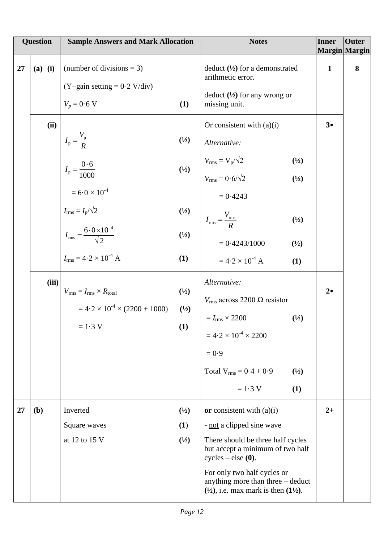|    | <b>Question</b>   | <b>Sample Answers and Mark Allocation</b>                                                                                                                                                                              |                                                         | <b>Notes</b>                                                                                                                                                                                                                                                                                                                                                              | <b>Inner</b>               | <b>Outer</b><br><b>Margin</b> Margin |
|----|-------------------|------------------------------------------------------------------------------------------------------------------------------------------------------------------------------------------------------------------------|---------------------------------------------------------|---------------------------------------------------------------------------------------------------------------------------------------------------------------------------------------------------------------------------------------------------------------------------------------------------------------------------------------------------------------------------|----------------------------|--------------------------------------|
| 27 | $(a)$ (i)<br>(ii) | (number of divisions $= 3$ )<br>$(Y$ gain setting = 0.2 V/div)<br>$V_p = 0.6$ V<br>$I_{\rm p} = \frac{V_{\rm p}}{R}$<br>$I_{\rm p} = \frac{0.6}{1000}$<br>$= 6.0 \times 10^{-4}$<br>$I_{\rm rms} = I_{\rm p}/\sqrt{2}$ | (1)<br>$\binom{1}{2}$<br>(1/2)<br>(1/2)                 | deduct $(\frac{1}{2})$ for a demonstrated<br>arithmetic error.<br>deduct $(\frac{1}{2})$ for any wrong or<br>missing unit.<br>Or consistent with $(a)(i)$<br>Alternative:<br>$V_{\rm rms} = V_{\rm p}/\sqrt{2}$<br>$\binom{1}{2}$<br>$V_{\text{rms}} = 0.6/\sqrt{2}$<br>(1/2)<br>$= 0.4243$                                                                               | $\mathbf{1}$<br>$3\bullet$ | 8                                    |
|    | (iii)             | $I_{\text{rms}} = \frac{6.0 \times 10^{-4}}{\sqrt{2}}$<br>$I_{\rm rms} = 4.2 \times 10^{-4}$ A<br>$V_{\rm rms} = I_{\rm rms} \times R_{\rm total}$<br>$=4.2\times10^{-4}\times(2200+1000)$<br>$= 1.3 V$                | $\binom{1}{2}$<br>(1)<br>$\binom{1}{2}$<br>(1/2)<br>(1) | $I_{\text{rms}} = \frac{V_{\text{rms}}}{R}$<br>$\binom{1}{2}$<br>$= 0.4243/1000$<br>$\binom{1}{2}$<br>$= 4.2 \times 10^{-4}$ A<br>(1)<br>Alternative:<br>$V_{\rm rms}$ across 2200 $\Omega$ resistor<br>$=I_{\rm rms}\times 2200$<br>$\binom{1}{2}$<br>$= 4.2 \times 10^{-4} \times 2200$<br>$= 0.9$<br>Total $V_{rms} = 0.4 + 0.9$<br>$\binom{1}{2}$<br>$= 1.3 V$<br>(1) | $2\bullet$                 |                                      |
| 27 | (b)               | Inverted<br>Square waves<br>at 12 to 15 V                                                                                                                                                                              | $\binom{1}{2}$<br>(1)<br>(1/2)                          | or consistent with $(a)(i)$<br>- not a clipped sine wave<br>There should be three half cycles<br>but accept a minimum of two half<br>$cycles - else (0).$<br>For only two half cycles or<br>anything more than three - deduct<br>$(\frac{1}{2})$ , i.e. max mark is then $(1\frac{1}{2})$ .                                                                               | $2+$                       |                                      |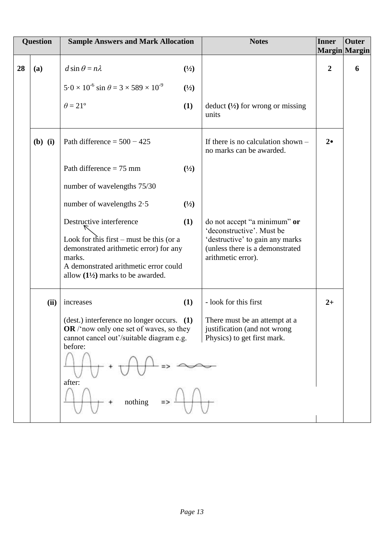|    | <b>Question</b> | <b>Sample Answers and Mark Allocation</b>                                                                                                                                            |                       | <b>Notes</b>                                                                                                          | <b>Inner</b>     | <b>Outer</b><br>Margin Margin |
|----|-----------------|--------------------------------------------------------------------------------------------------------------------------------------------------------------------------------------|-----------------------|-----------------------------------------------------------------------------------------------------------------------|------------------|-------------------------------|
| 28 | (a)             | $d \sin \theta = n\lambda$<br>$5.0 \times 10^{-6}$ sin $\theta = 3 \times 589 \times 10^{-9}$<br>$\theta = 21^{\circ}$                                                               | (1/2)<br>(1/2)<br>(1) | deduct $(\frac{1}{2})$ for wrong or missing                                                                           | $\boldsymbol{2}$ | 6                             |
|    |                 |                                                                                                                                                                                      |                       | units                                                                                                                 |                  |                               |
|    | $(b)$ (i)       | Path difference = $500 - 425$                                                                                                                                                        |                       | If there is no calculation shown $-$<br>no marks can be awarded.                                                      | $2\bullet$       |                               |
|    |                 | Path difference $= 75$ mm                                                                                                                                                            | $\binom{1}{2}$        |                                                                                                                       |                  |                               |
|    |                 | number of wavelengths 75/30                                                                                                                                                          |                       |                                                                                                                       |                  |                               |
|    |                 | number of wavelengths $2.5$<br>Destructive interference                                                                                                                              | (1/2)<br>(1)          | do not accept "a minimum" or                                                                                          |                  |                               |
|    |                 | Look for this first – must be this (or a<br>demonstrated arithmetic error) for any<br>marks.<br>A demonstrated arithmetic error could<br>allow $(1\frac{1}{2})$ marks to be awarded. |                       | 'deconstructive'. Must be<br>'destructive' to gain any marks<br>(unless there is a demonstrated<br>arithmetic error). |                  |                               |
|    | (ii)            | increases                                                                                                                                                                            | (1)                   | - look for this first                                                                                                 | $2+$             |                               |
|    |                 | (dest.) interference no longer occurs. (1)<br>OR $/$ now only one set of waves, so they<br>cannot cancel out'/suitable diagram e.g.<br>before:<br>after:                             |                       | There must be an attempt at a<br>justification (and not wrong<br>Physics) to get first mark.                          |                  |                               |
|    |                 | nothing                                                                                                                                                                              |                       |                                                                                                                       |                  |                               |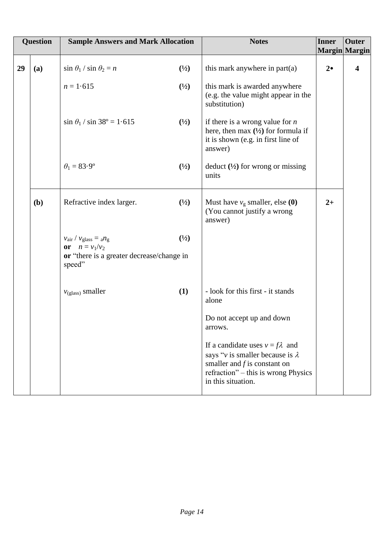| Question |     | <b>Sample Answers and Mark Allocation</b>                                                                                       |                | <b>Notes</b>                                                                                                                                                                     | <b>Inner</b><br>Margin Margin | <b>Outer</b>          |
|----------|-----|---------------------------------------------------------------------------------------------------------------------------------|----------------|----------------------------------------------------------------------------------------------------------------------------------------------------------------------------------|-------------------------------|-----------------------|
|          |     |                                                                                                                                 |                |                                                                                                                                                                                  |                               |                       |
| 29       | (a) | $\sin \theta_1 / \sin \theta_2 = n$                                                                                             | (1/2)          | this mark anywhere in $part(a)$                                                                                                                                                  | $2\bullet$                    | $\boldsymbol{\Delta}$ |
|          |     | $n = 1.615$                                                                                                                     | (1/2)          | this mark is awarded anywhere<br>(e.g. the value might appear in the<br>substitution)                                                                                            |                               |                       |
|          |     | $\sin \theta_1 / \sin 38^\circ = 1.615$                                                                                         | (1/2)          | if there is a wrong value for $n$<br>here, then max $(\frac{1}{2})$ for formula if<br>it is shown (e.g. in first line of<br>answer)                                              |                               |                       |
|          |     | $\theta_1 = 83.9^\circ$                                                                                                         | (1/2)          | deduct $(\frac{1}{2})$ for wrong or missing<br>units                                                                                                                             |                               |                       |
|          | (b) | Refractive index larger.                                                                                                        | $\binom{1}{2}$ | Must have $v_g$ smaller, else (0)<br>(You cannot justify a wrong<br>answer)                                                                                                      | $2+$                          |                       |
|          |     | $v_{\text{air}} / v_{\text{glass}} = a n_{\text{g}}$<br>or $n = v_1/v_2$<br>or "there is a greater decrease/change in<br>speed" | (1/2)          |                                                                                                                                                                                  |                               |                       |
|          |     | $v_{\text{(glass)}}$ smaller                                                                                                    | (1)            | - look for this first - it stands<br>alone                                                                                                                                       |                               |                       |
|          |     |                                                                                                                                 |                | Do not accept up and down<br>arrows.                                                                                                                                             |                               |                       |
|          |     |                                                                                                                                 |                | If a candidate uses $v = f\lambda$ and<br>says "v is smaller because is $\lambda$<br>smaller and $f$ is constant on<br>refraction" – this is wrong Physics<br>in this situation. |                               |                       |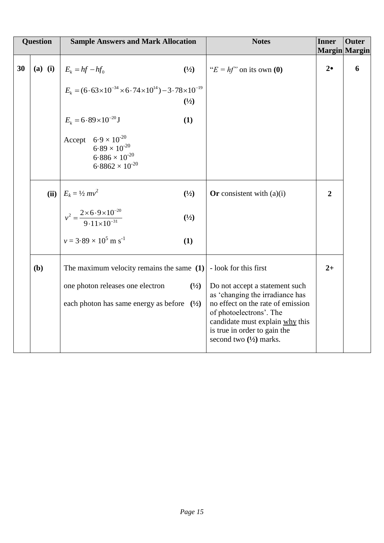| <b>Question</b> |           | <b>Sample Answers and Mark Allocation</b>                                                                     | <b>Notes</b>                                                                                                                                                         | <b>Inner</b>   | <b>Outer</b><br>Margin Margin |
|-----------------|-----------|---------------------------------------------------------------------------------------------------------------|----------------------------------------------------------------------------------------------------------------------------------------------------------------------|----------------|-------------------------------|
| 30              | $(a)$ (i) | $(\frac{1}{2})$<br>$E_k = hf - hf_0$                                                                          | " $E = hf$ " on its own (0)                                                                                                                                          | $2\bullet$     | 6                             |
|                 |           | $E_k = (6.63 \times 10^{-34} \times 6.74 \times 10^{14}) - 3.78 \times 10^{-19}$<br>(1/2)                     |                                                                                                                                                                      |                |                               |
|                 |           | $E_k = 6.89 \times 10^{-20}$ J<br>(1)                                                                         |                                                                                                                                                                      |                |                               |
|                 |           | Accept $6.9 \times 10^{-20}$<br>$6.89 \times 10^{-20}$<br>$6.886 \times 10^{-20}$<br>$6.8862 \times 10^{-20}$ |                                                                                                                                                                      |                |                               |
|                 |           | (ii) $E_k = \frac{1}{2}mv^2$<br>$\binom{1}{2}$                                                                | Or consistent with $(a)(i)$                                                                                                                                          | $\overline{2}$ |                               |
|                 |           | $v^2 = \frac{2 \times 6.9 \times 10^{-20}}{9.11 \times 10^{-31}}$<br>$\binom{1}{2}$                           |                                                                                                                                                                      |                |                               |
|                 |           | $v = 3.89 \times 10^5$ m s <sup>-1</sup><br>(1)                                                               |                                                                                                                                                                      |                |                               |
|                 | (b)       | The maximum velocity remains the same $(1)$ - look for this first                                             |                                                                                                                                                                      | $2+$           |                               |
|                 |           | one photon releases one electron<br>(1/2)                                                                     | Do not accept a statement such<br>as 'changing the irradiance has                                                                                                    |                |                               |
|                 |           | each photon has same energy as before $(\frac{1}{2})$                                                         | no effect on the rate of emission<br>of photoelectrons'. The<br>candidate must explain why this<br>is true in order to gain the<br>second two $(\frac{1}{2})$ marks. |                |                               |